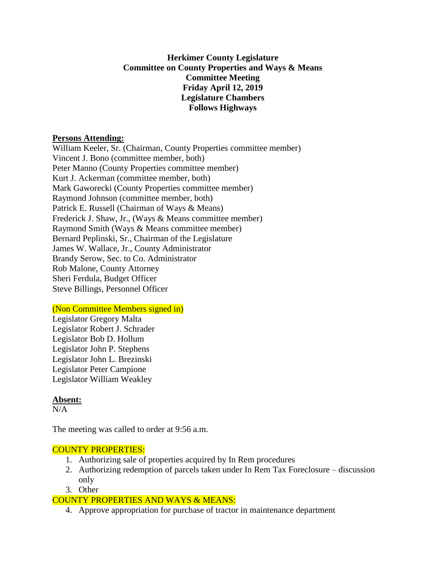## **Herkimer County Legislature Committee on County Properties and Ways & Means Committee Meeting Friday April 12, 2019 Legislature Chambers Follows Highways**

#### **Persons Attending:**

William Keeler, Sr. (Chairman, County Properties committee member) Vincent J. Bono (committee member, both) Peter Manno (County Properties committee member) Kurt J. Ackerman (committee member, both) Mark Gaworecki (County Properties committee member) Raymond Johnson (committee member, both) Patrick E. Russell (Chairman of Ways & Means) Frederick J. Shaw, Jr., (Ways & Means committee member) Raymond Smith (Ways & Means committee member) Bernard Peplinski, Sr., Chairman of the Legislature James W. Wallace, Jr., County Administrator Brandy Serow, Sec. to Co. Administrator Rob Malone, County Attorney Sheri Ferdula, Budget Officer Steve Billings, Personnel Officer

## (Non Committee Members signed in)

Legislator Gregory Malta Legislator Robert J. Schrader Legislator Bob D. Hollum Legislator John P. Stephens Legislator John L. Brezinski Legislator Peter Campione Legislator William Weakley

## **Absent:**

 $N/A$ 

The meeting was called to order at 9:56 a.m.

## COUNTY PROPERTIES:

- 1. Authorizing sale of properties acquired by In Rem procedures
- 2. Authorizing redemption of parcels taken under In Rem Tax Foreclosure discussion only
- 3. Other

## COUNTY PROPERTIES AND WAYS & MEANS:

4. Approve appropriation for purchase of tractor in maintenance department